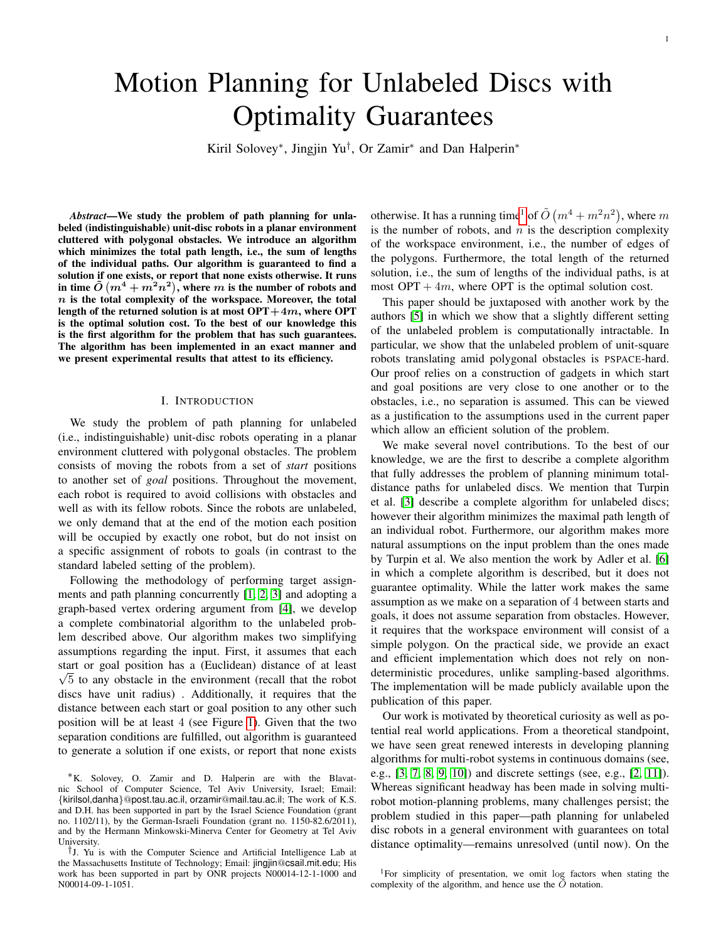# Motion Planning for Unlabeled Discs with Optimality Guarantees

Kiril Solovey<sup>∗</sup> , Jingjin Yu† , Or Zamir<sup>∗</sup> and Dan Halperin<sup>∗</sup>

*Abstract*—We study the problem of path planning for unlabeled (indistinguishable) unit-disc robots in a planar environment cluttered with polygonal obstacles. We introduce an algorithm which minimizes the total path length, i.e., the sum of lengths of the individual paths. Our algorithm is guaranteed to find a solution if one exists, or report that none exists otherwise. It runs in time  $\tilde{O}$   $(m^4 + m^2 n^2),$  where  $m$  is the number of robots and  $n$  is the total complexity of the workspace. Moreover, the total length of the returned solution is at most  $\text{OPT}+4m$ , where  $\text{OPT}$ is the optimal solution cost. To the best of our knowledge this is the first algorithm for the problem that has such guarantees. The algorithm has been implemented in an exact manner and we present experimental results that attest to its efficiency.

#### I. INTRODUCTION

We study the problem of path planning for unlabeled (i.e., indistinguishable) unit-disc robots operating in a planar environment cluttered with polygonal obstacles. The problem consists of moving the robots from a set of *start* positions to another set of *goal* positions. Throughout the movement, each robot is required to avoid collisions with obstacles and well as with its fellow robots. Since the robots are unlabeled, we only demand that at the end of the motion each position will be occupied by exactly one robot, but do not insist on a specific assignment of robots to goals (in contrast to the standard labeled setting of the problem).

Following the methodology of performing target assignments and path planning concurrently [\[1,](#page-7-0) [2,](#page-7-1) [3\]](#page-7-2) and adopting a graph-based vertex ordering argument from [\[4\]](#page-7-3), we develop a complete combinatorial algorithm to the unlabeled problem described above. Our algorithm makes two simplifying assumptions regarding the input. First, it assumes that each start or goal position has a (Euclidean) distance of at least  $\sqrt{5}$  to any obstacle in the environment (recall that the robot discs have unit radius) . Additionally, it requires that the distance between each start or goal position to any other such position will be at least 4 (see Figure [1\)](#page-1-0). Given that the two separation conditions are fulfilled, out algorithm is guaranteed to generate a solution if one exists, or report that none exists

otherwise. It has a running time<sup>[1](#page-0-0)</sup> of  $\tilde{O}(m^4 + m^2n^2)$ , where m is the number of robots, and  $n$  is the description complexity of the workspace environment, i.e., the number of edges of the polygons. Furthermore, the total length of the returned solution, i.e., the sum of lengths of the individual paths, is at most  $OPT + 4m$ , where OPT is the optimal solution cost.

This paper should be juxtaposed with another work by the authors [\[5\]](#page-7-4) in which we show that a slightly different setting of the unlabeled problem is computationally intractable. In particular, we show that the unlabeled problem of unit-square robots translating amid polygonal obstacles is PSPACE-hard. Our proof relies on a construction of gadgets in which start and goal positions are very close to one another or to the obstacles, i.e., no separation is assumed. This can be viewed as a justification to the assumptions used in the current paper which allow an efficient solution of the problem.

We make several novel contributions. To the best of our knowledge, we are the first to describe a complete algorithm that fully addresses the problem of planning minimum totaldistance paths for unlabeled discs. We mention that Turpin et al. [\[3\]](#page-7-2) describe a complete algorithm for unlabeled discs; however their algorithm minimizes the maximal path length of an individual robot. Furthermore, our algorithm makes more natural assumptions on the input problem than the ones made by Turpin et al. We also mention the work by Adler et al. [\[6\]](#page-8-0) in which a complete algorithm is described, but it does not guarantee optimality. While the latter work makes the same assumption as we make on a separation of 4 between starts and goals, it does not assume separation from obstacles. However, it requires that the workspace environment will consist of a simple polygon. On the practical side, we provide an exact and efficient implementation which does not rely on nondeterministic procedures, unlike sampling-based algorithms. The implementation will be made publicly available upon the publication of this paper.

Our work is motivated by theoretical curiosity as well as potential real world applications. From a theoretical standpoint, we have seen great renewed interests in developing planning algorithms for multi-robot systems in continuous domains (see, e.g., [\[3,](#page-7-2) [7,](#page-8-1) [8,](#page-8-2) [9,](#page-8-3) [10\]](#page-8-4)) and discrete settings (see, e.g., [\[2,](#page-7-1) [11\]](#page-8-5)). Whereas significant headway has been made in solving multirobot motion-planning problems, many challenges persist; the problem studied in this paper—path planning for unlabeled disc robots in a general environment with guarantees on total distance optimality—remains unresolved (until now). On the

<sup>∗</sup>K. Solovey, O. Zamir and D. Halperin are with the Blavatnic School of Computer Science, Tel Aviv University, Israel; Email: {kirilsol,danha}@post.tau.ac.il, orzamir@mail.tau.ac.il; The work of K.S. and D.H. has been supported in part by the Israel Science Foundation (grant no. 1102/11), by the German-Israeli Foundation (grant no. 1150-82.6/2011), and by the Hermann Minkowski-Minerva Center for Geometry at Tel Aviv University.

<sup>†</sup>J. Yu is with the Computer Science and Artificial Intelligence Lab at the Massachusetts Institute of Technology; Email: jingjin@csail.mit.edu; His work has been supported in part by ONR projects N00014-12-1-1000 and N00014-09-1-1051.

<span id="page-0-0"></span><sup>&</sup>lt;sup>1</sup>For simplicity of presentation, we omit log factors when stating the complexity of the algorithm, and hence use the  $\ddot{O}$  notation.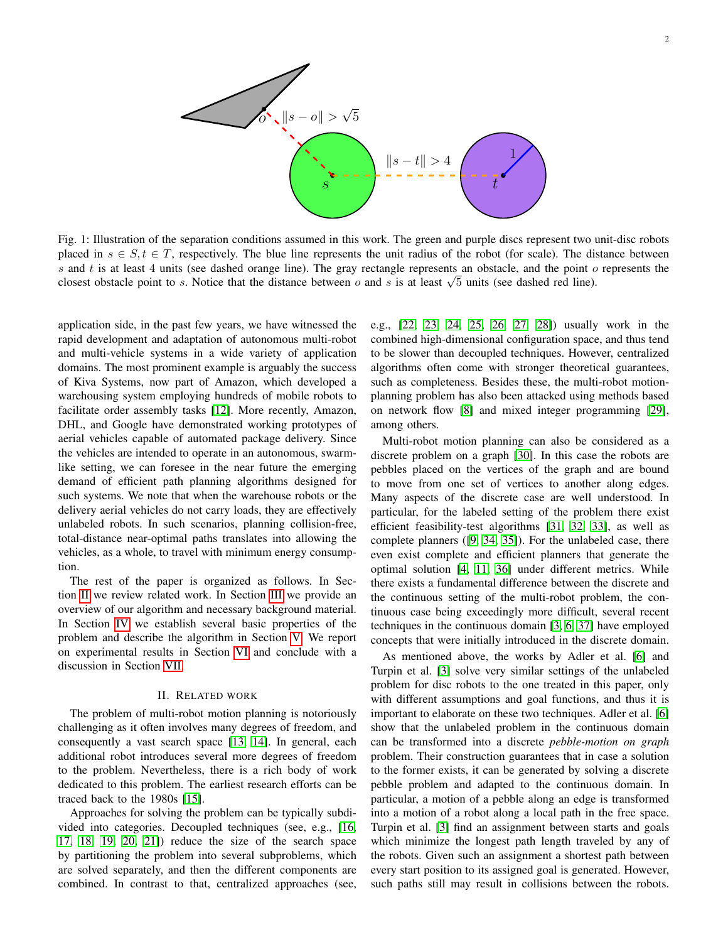<span id="page-1-0"></span>

Fig. 1: Illustration of the separation conditions assumed in this work. The green and purple discs represent two unit-disc robots placed in  $s \in S, t \in T$ , respectively. The blue line represents the unit radius of the robot (for scale). The distance between s and  $t$  is at least 4 units (see dashed orange line). The gray rectangle represents an obstacle, and the point  $o$  represents the closest obstacle point to s. Notice that the distance between  $o$  and s is at least  $\sqrt{5}$  units (see dashed red line).

application side, in the past few years, we have witnessed the rapid development and adaptation of autonomous multi-robot and multi-vehicle systems in a wide variety of application domains. The most prominent example is arguably the success of Kiva Systems, now part of Amazon, which developed a warehousing system employing hundreds of mobile robots to facilitate order assembly tasks [\[12\]](#page-8-6). More recently, Amazon, DHL, and Google have demonstrated working prototypes of aerial vehicles capable of automated package delivery. Since the vehicles are intended to operate in an autonomous, swarmlike setting, we can foresee in the near future the emerging demand of efficient path planning algorithms designed for such systems. We note that when the warehouse robots or the delivery aerial vehicles do not carry loads, they are effectively unlabeled robots. In such scenarios, planning collision-free, total-distance near-optimal paths translates into allowing the vehicles, as a whole, to travel with minimum energy consumption.

The rest of the paper is organized as follows. In Section [II](#page-1-1) we review related work. In Section [III](#page-2-0) we provide an overview of our algorithm and necessary background material. In Section [IV](#page-2-1) we establish several basic properties of the problem and describe the algorithm in Section [V.](#page-4-0) We report on experimental results in Section [VI](#page-5-0) and conclude with a discussion in Section [VII.](#page-6-0)

## II. RELATED WORK

<span id="page-1-1"></span>The problem of multi-robot motion planning is notoriously challenging as it often involves many degrees of freedom, and consequently a vast search space [\[13,](#page-8-7) [14\]](#page-8-8). In general, each additional robot introduces several more degrees of freedom to the problem. Nevertheless, there is a rich body of work dedicated to this problem. The earliest research efforts can be traced back to the 1980s [\[15\]](#page-8-9).

Approaches for solving the problem can be typically subdivided into categories. Decoupled techniques (see, e.g., [\[16,](#page-8-10) [17,](#page-8-11) [18,](#page-8-12) [19,](#page-8-13) [20,](#page-8-14) [21\]](#page-8-15)) reduce the size of the search space by partitioning the problem into several subproblems, which are solved separately, and then the different components are combined. In contrast to that, centralized approaches (see, e.g., [\[22,](#page-8-16) [23,](#page-8-17) [24,](#page-8-18) [25,](#page-8-19) [26,](#page-8-20) [27,](#page-8-21) [28\]](#page-8-22)) usually work in the combined high-dimensional configuration space, and thus tend to be slower than decoupled techniques. However, centralized algorithms often come with stronger theoretical guarantees, such as completeness. Besides these, the multi-robot motionplanning problem has also been attacked using methods based on network flow [\[8\]](#page-8-2) and mixed integer programming [\[29\]](#page-8-23), among others.

Multi-robot motion planning can also be considered as a discrete problem on a graph [\[30\]](#page-8-24). In this case the robots are pebbles placed on the vertices of the graph and are bound to move from one set of vertices to another along edges. Many aspects of the discrete case are well understood. In particular, for the labeled setting of the problem there exist efficient feasibility-test algorithms [\[31,](#page-8-25) [32,](#page-8-26) [33\]](#page-8-27), as well as complete planners ([\[9,](#page-8-3) [34,](#page-8-28) [35\]](#page-9-0)). For the unlabeled case, there even exist complete and efficient planners that generate the optimal solution [\[4,](#page-7-3) [11,](#page-8-5) [36\]](#page-9-1) under different metrics. While there exists a fundamental difference between the discrete and the continuous setting of the multi-robot problem, the continuous case being exceedingly more difficult, several recent techniques in the continuous domain [\[3,](#page-7-2) [6,](#page-8-0) [37\]](#page-9-2) have employed concepts that were initially introduced in the discrete domain.

As mentioned above, the works by Adler et al. [\[6\]](#page-8-0) and Turpin et al. [\[3\]](#page-7-2) solve very similar settings of the unlabeled problem for disc robots to the one treated in this paper, only with different assumptions and goal functions, and thus it is important to elaborate on these two techniques. Adler et al. [\[6\]](#page-8-0) show that the unlabeled problem in the continuous domain can be transformed into a discrete *pebble-motion on graph* problem. Their construction guarantees that in case a solution to the former exists, it can be generated by solving a discrete pebble problem and adapted to the continuous domain. In particular, a motion of a pebble along an edge is transformed into a motion of a robot along a local path in the free space. Turpin et al. [\[3\]](#page-7-2) find an assignment between starts and goals which minimize the longest path length traveled by any of the robots. Given such an assignment a shortest path between every start position to its assigned goal is generated. However, such paths still may result in collisions between the robots.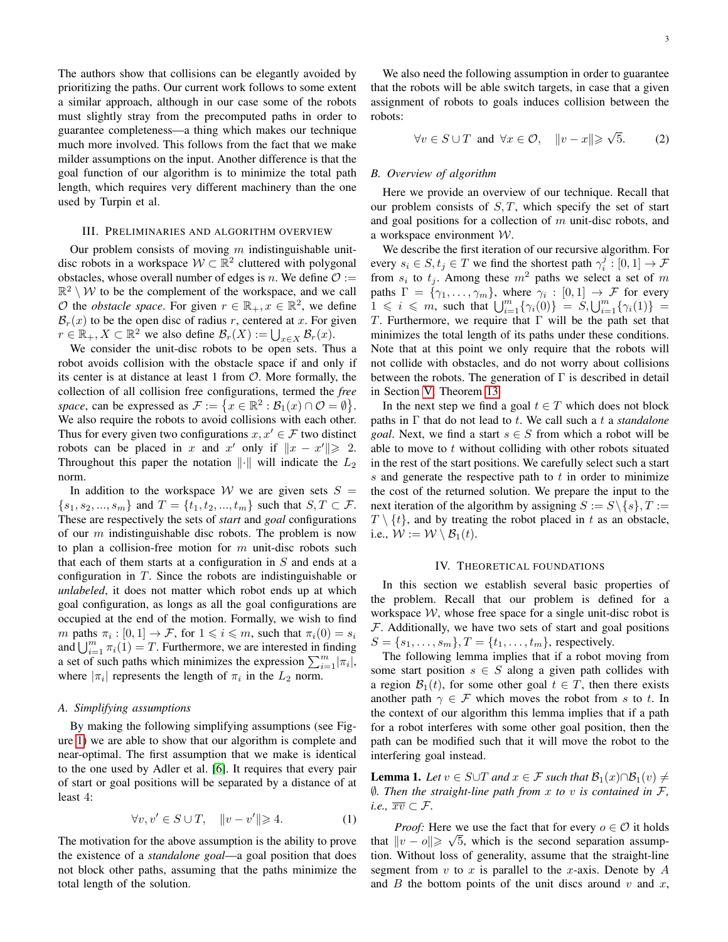The authors show that collisions can be elegantly avoided by prioritizing the paths. Our current work follows to some extent a similar approach, although in our case some of the robots must slightly stray from the precomputed paths in order to guarantee completeness—a thing which makes our technique much more involved. This follows from the fact that we make milder assumptions on the input. Another difference is that the goal function of our algorithm is to minimize the total path length, which requires very different machinery than the one used by Turpin et al.

### III. PRELIMINARIES AND ALGORITHM OVERVIEW

<span id="page-2-0"></span>Our problem consists of moving  $m$  indistinguishable unitdisc robots in a workspace  $W \subset \mathbb{R}^2$  cluttered with polygonal obstacles, whose overall number of edges is n. We define  $\mathcal{O}$  :=  $\mathbb{R}^2 \setminus \mathcal{W}$  to be the complement of the workspace, and we call  $\mathcal O$  the *obstacle space*. For given  $r \in \mathbb{R}_+$ ,  $x \in \mathbb{R}^2$ , we define  $\mathcal{B}_r(x)$  to be the open disc of radius r, centered at x. For given  $r \in \mathbb{R}_+, X \subset \mathbb{R}^2$  we also define  $\mathcal{B}_r(X) := \bigcup_{x \in X} \mathcal{B}_r(x)$ .

We consider the unit-disc robots to be open sets. Thus a robot avoids collision with the obstacle space if and only if its center is at distance at least 1 from  $\mathcal{O}$ . More formally, the collection of all collision free configurations, termed the *free* space, can be expressed as  $\mathcal{F} := \{x \in \mathbb{R}^2 : \mathcal{B}_1(x) \cap \mathcal{O} = \emptyset\}.$ We also require the robots to avoid collisions with each other. Thus for every given two configurations  $x, x' \in \mathcal{F}$  two distinct robots can be placed in x and x' only if  $||x - x'|| \ge 2$ . Throughout this paper the notation  $\|\cdot\|$  will indicate the  $L_2$ norm.

In addition to the workspace W we are given sets  $S =$  $\{s_1, s_2, ..., s_m\}$  and  $T = \{t_1, t_2, ..., t_m\}$  such that  $S, T \subset \mathcal{F}$ . These are respectively the sets of *start* and *goal* configurations of our  $m$  indistinguishable disc robots. The problem is now to plan a collision-free motion for  $m$  unit-disc robots such that each of them starts at a configuration in  $S$  and ends at a configuration in T. Since the robots are indistinguishable or *unlabeled*, it does not matter which robot ends up at which goal configuration, as longs as all the goal configurations are occupied at the end of the motion. Formally, we wish to find m paths  $\pi_i : [0, 1] \to \mathcal{F}$ , for  $1 \leq i \leq m$ , such that  $\pi_i(0) = s_i$ and  $\bigcup_{i=1}^m \pi_i(1) = T$ . Furthermore, we are interested in finding a set of such paths which minimizes the expression  $\sum_{i=1}^{m}|\pi_i|$ , where  $|\pi_i|$  represents the length of  $\pi_i$  in the  $L_2$  norm.

## <span id="page-2-5"></span>*A. Simplifying assumptions*

By making the following simplifying assumptions (see Figure [1\)](#page-1-0) we are able to show that our algorithm is complete and near-optimal. The first assumption that we make is identical to the one used by Adler et al. [\[6\]](#page-8-0). It requires that every pair of start or goal positions will be separated by a distance of at least 4:

$$
\forall v, v' \in S \cup T, \quad ||v - v'|| \geq 4. \tag{1}
$$

The motivation for the above assumption is the ability to prove the existence of a *standalone goal*—a goal position that does not block other paths, assuming that the paths minimize the total length of the solution.

We also need the following assumption in order to guarantee that the robots will be able switch targets, in case that a given assignment of robots to goals induces collision between the robots:

<span id="page-2-4"></span>
$$
\forall v \in S \cup T \text{ and } \forall x \in \mathcal{O}, \quad ||v - x|| \geq \sqrt{5}. \tag{2}
$$

#### *B. Overview of algorithm*

Here we provide an overview of our technique. Recall that our problem consists of  $S, T$ , which specify the set of start and goal positions for a collection of  $m$  unit-disc robots, and a workspace environment W.

We describe the first iteration of our recursive algorithm. For every  $s_i \in S, t_j \in T$  we find the shortest path  $\gamma_i^j : [0, 1] \to F$ from  $s_i$  to  $t_j$ . Among these  $m^2$  paths we select a set of m paths  $\Gamma = \{ \gamma_1, \ldots, \gamma_m \}$ , where  $\gamma_i : [0, 1] \rightarrow \mathcal{F}$  for every  $1 \le i \le m$ , such that  $\bigcup_{i=1}^{m} {\gamma_i(0)} = S, \bigcup_{i=1}^{m} {\gamma_i(1)} =$ T. Furthermore, we require that  $\Gamma$  will be the path set that minimizes the total length of its paths under these conditions. Note that at this point we only require that the robots will not collide with obstacles, and do not worry about collisions between the robots. The generation of  $\Gamma$  is described in detail in Section [V,](#page-4-0) Theorem [13.](#page-4-1)

In the next step we find a goal  $t \in T$  which does not block paths in Γ that do not lead to t. We call such a t a *standalone goal*. Next, we find a start  $s \in S$  from which a robot will be able to move to  $t$  without colliding with other robots situated in the rest of the start positions. We carefully select such a start s and generate the respective path to  $t$  in order to minimize the cost of the returned solution. We prepare the input to the next iteration of the algorithm by assigning  $S := S \setminus \{s\}, T :=$  $T \setminus \{t\}$ , and by treating the robot placed in t as an obstacle, i.e.,  $W := W \setminus \mathcal{B}_1(t)$ .

## IV. THEORETICAL FOUNDATIONS

<span id="page-2-1"></span>In this section we establish several basic properties of the problem. Recall that our problem is defined for a workspace  $W$ , whose free space for a single unit-disc robot is  $F$ . Additionally, we have two sets of start and goal positions  $S = \{s_1, \ldots, s_m\}, T = \{t_1, \ldots, t_m\},$  respectively.

The following lemma implies that if a robot moving from some start position  $s \in S$  along a given path collides with a region  $\mathcal{B}_1(t)$ , for some other goal  $t \in T$ , then there exists another path  $\gamma \in \mathcal{F}$  which moves the robot from s to t. In the context of our algorithm this lemma implies that if a path for a robot interferes with some other goal position, then the path can be modified such that it will move the robot to the interfering goal instead.

<span id="page-2-2"></span>**Lemma 1.** *Let*  $v \in S \cup T$  *and*  $x \in F$  *such that*  $\mathcal{B}_1(x) \cap \mathcal{B}_1(v) \neq \emptyset$ ∅*. Then the straight-line path from* x *to* v *is contained in* F*, i.e.*,  $\overline{xv} \subset \mathcal{F}$ .

<span id="page-2-3"></span>*Proof:* Here we use the fact that for every  $o \in \mathcal{O}$  it holds that  $||v - o|| \ge \sqrt{5}$ , which is the second separation assumption. Without loss of generality, assume that the straight-line segment from  $v$  to  $x$  is parallel to the  $x$ -axis. Denote by  $A$ and  $B$  the bottom points of the unit discs around  $v$  and  $x$ ,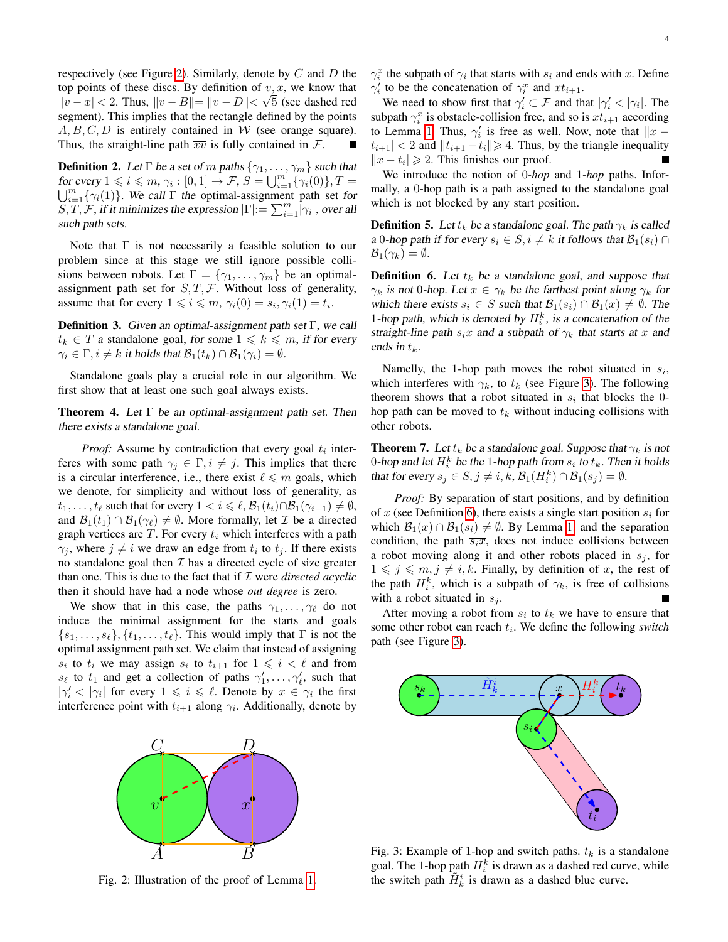respectively (see Figure [2\)](#page-3-0). Similarly, denote by  $C$  and  $D$  the top points of these discs. By definition of  $v, x$ , we know that  $||v - x|| < 2$ . Thus,  $||v - B|| = ||v - D|| < \sqrt{5}$  (see dashed red segment). This implies that the rectangle defined by the points  $A, B, C, D$  is entirely contained in W (see orange square). Thus, the straight-line path  $\overline{xv}$  is fully contained in  $\mathcal{F}$ .

**Definition 2.** Let  $\Gamma$  be a set of m paths  $\{\gamma_1, \ldots, \gamma_m\}$  such that for every  $1 \leqslant i \leqslant m$ ,  $\gamma_i : [0,1] \to \mathcal{F}, S = \bigcup_{i=1}^m$ for every  $1 \leq i \leq m$ ,  $\gamma_i : [0,1] \to \mathcal{F}$ ,  $S = \bigcup_{i=1}^m {\{\gamma_i(0)\}}$ ,  $T = \bigcup_{i=1}^m {\{\gamma_i(1)\}}$ . We call  $\Gamma$  the optimal-assignment path set for  $\overline{S}, \overline{T}, \overline{F}$ , if it minimizes the expression  $|\Gamma| = \sum_{i=1}^{m} |\gamma_i|$ , over all such path sets.

Note that  $\Gamma$  is not necessarily a feasible solution to our problem since at this stage we still ignore possible collisions between robots. Let  $\Gamma = \{\gamma_1, \ldots, \gamma_m\}$  be an optimalassignment path set for  $S, T, F$ . Without loss of generality, assume that for every  $1 \leq i \leq m$ ,  $\gamma_i(0) = s_i$ ,  $\gamma_i(1) = t_i$ .

**Definition 3.** Given an optimal-assignment path set  $\Gamma$ , we call  $t_k \in T$  a standalone goal, for some  $1 \leq k \leq m$ , if for every  $\gamma_i \in \Gamma, i \neq k$  it holds that  $\mathcal{B}_1(t_k) \cap \mathcal{B}_1(\gamma_i) = \emptyset$ .

Standalone goals play a crucial role in our algorithm. We first show that at least one such goal always exists.

<span id="page-3-3"></span>**Theorem 4.** Let  $\Gamma$  be an optimal-assignment path set. Then there exists a standalone goal.

*Proof:* Assume by contradiction that every goal  $t_i$  interferes with some path  $\gamma_j \in \Gamma, i \neq j$ . This implies that there is a circular interference, i.e., there exist  $\ell \leq m$  goals, which we denote, for simplicity and without loss of generality, as  $t_1, \ldots, t_\ell$  such that for every  $1 < i \leq \ell, \mathcal{B}_1(t_i) \cap \mathcal{B}_1(\gamma_{i-1}) \neq \emptyset$ , and  $\mathcal{B}_1(t_1) \cap \mathcal{B}_1(\gamma_\ell) \neq \emptyset$ . More formally, let  $\mathcal I$  be a directed graph vertices are  $T$ . For every  $t_i$  which interferes with a path  $\gamma_j$ , where  $j \neq i$  we draw an edge from  $t_i$  to  $t_j$ . If there exists no standalone goal then  $I$  has a directed cycle of size greater than one. This is due to the fact that if I were *directed acyclic* then it should have had a node whose *out degree* is zero.

We show that in this case, the paths  $\gamma_1, \ldots, \gamma_\ell$  do not induce the minimal assignment for the starts and goals  $\{s_1, \ldots, s_\ell\}, \{t_1, \ldots, t_\ell\}.$  This would imply that  $\Gamma$  is not the optimal assignment path set. We claim that instead of assigning  $s_i$  to  $t_i$  we may assign  $s_i$  to  $t_{i+1}$  for  $1 \leqslant i < \ell$  and from  $s_{\ell}$  to  $t_1$  and get a collection of paths  $\gamma'_1, \ldots, \gamma'_{\ell}$ , such that  $|\gamma'_i| < |\gamma_i|$  for every  $1 \leq i \leq \ell$ . Denote by  $x \in \gamma_i$  the first interference point with  $t_{i+1}$  along  $\gamma_i$ . Additionally, denote by

<span id="page-3-0"></span>

Fig. 2: Illustration of the proof of Lemma [1.](#page-2-2)

 $\gamma_i^x$  the subpath of  $\gamma_i$  that starts with  $s_i$  and ends with x. Define  $\gamma_i'$  to be the concatenation of  $\gamma_i^x$  and  $xt_{i+1}$ .

We need to show first that  $\gamma'_i \subset \mathcal{F}$  and that  $|\gamma'_i| < |\gamma_i|$ . The subpath  $\gamma_i^x$  is obstacle-collision free, and so is  $\overline{xt_{i+1}}$  according to Lemma [1.](#page-2-2) Thus,  $\gamma'_i$  is free as well. Now, note that  $\|x |t_{i+1}| < 2$  and  $||t_{i+1} - t_i|| \ge 4$ . Thus, by the triangle inequality  $||x - t_i|| \ge 2$ . This finishes our proof.

We introduce the notion of 0*-hop* and 1*-hop* paths. Informally, a 0-hop path is a path assigned to the standalone goal which is not blocked by any start position.

**Definition 5.** Let  $t_k$  be a standalone goal. The path  $\gamma_k$  is called a 0-hop path if for every  $s_i \in S, i \neq k$  it follows that  $\mathcal{B}_1(s_i) \cap$  $\mathcal{B}_1(\gamma_k) = \emptyset.$ 

<span id="page-3-2"></span>**Definition 6.** Let  $t_k$  be a standalone goal, and suppose that  $\gamma_k$  is not 0-hop. Let  $x \in \gamma_k$  be the farthest point along  $\gamma_k$  for which there exists  $s_i \in S$  such that  $\mathcal{B}_1(s_i) \cap \mathcal{B}_1(x) \neq \emptyset$ . The 1-hop path, which is denoted by  $H_i^k$ , is a concatenation of the straight-line path  $\overline{s_i x}$  and a subpath of  $\gamma_k$  that starts at x and ends in  $t_k$ .

Namelly, the 1-hop path moves the robot situated in  $s_i$ , which interferes with  $\gamma_k$ , to  $t_k$  (see Figure [3\)](#page-3-1). The following theorem shows that a robot situated in  $s_i$  that blocks the 0hop path can be moved to  $t_k$  without inducing collisions with other robots.

<span id="page-3-4"></span>**Theorem 7.** Let  $t_k$  be a standalone goal. Suppose that  $\gamma_k$  is not 0-hop and let  $H_i^k$  be the 1-hop path from  $s_i$  to  $t_k$ . Then it holds that for every  $s_j \in S, j \neq i, k, \mathcal{B}_1(H_i^k) \cap \mathcal{B}_1(s_j) = \emptyset$ .

*Proof:* By separation of start positions, and by definition of x (see Definition [6\)](#page-3-2), there exists a single start position  $s_i$  for which  $\mathcal{B}_1(x) \cap \mathcal{B}_1(s_i) \neq \emptyset$ . By Lemma [1,](#page-2-2) and the separation condition, the path  $\overline{s_i x}$ , does not induce collisions between a robot moving along it and other robots placed in  $s_i$ , for  $1 \leq j \leq m, j \neq i, k$ . Finally, by definition of x, the rest of the path  $H_i^k$ , which is a subpath of  $\gamma_k$ , is free of collisions with a robot situated in  $s_j$ .

After moving a robot from  $s_i$  to  $t_k$  we have to ensure that some other robot can reach  $t_i$ . We define the following *switch* path (see Figure [3\)](#page-3-1).

<span id="page-3-1"></span>

Fig. 3: Example of 1-hop and switch paths.  $t_k$  is a standalone goal. The 1-hop path  $H_i^k$  is drawn as a dashed red curve, while the switch path  $\tilde{H}_{k}^{i}$  is drawn as a dashed blue curve.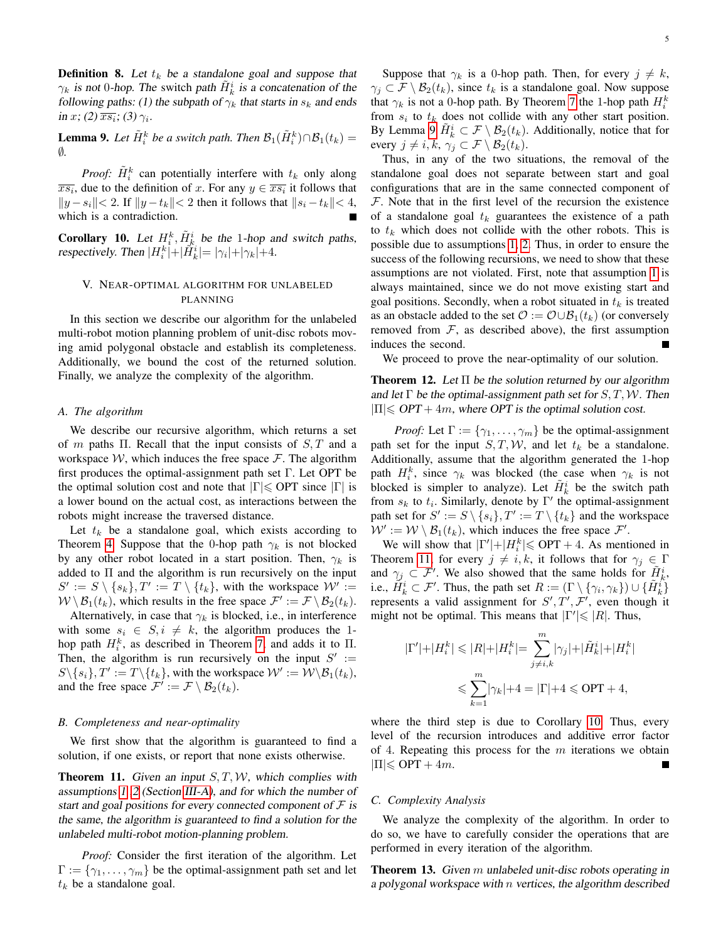**Definition 8.** Let  $t_k$  be a standalone goal and suppose that  $\gamma_k$  is not 0-hop. The switch path  $\tilde{H}_k^i$  is a concatenation of the following paths: (1) the subpath of  $\gamma_k$  that starts in  $s_k$  and ends in x; (2)  $\overline{x s_i}$ ; (3)  $\gamma_i$ .

<span id="page-4-2"></span>**Lemma 9.** Let  $\tilde{H}_i^k$  be a switch path. Then  $\mathcal{B}_1(\tilde{H}_i^k) \cap \mathcal{B}_1(t_k) =$ ∅*.*

*Proof:*  $\tilde{H}_i^k$  can potentially interfere with  $t_k$  only along  $\overline{x s_i}$ , due to the definition of x. For any  $y \in \overline{x s_i}$  it follows that  $||y - s_i|| < 2$ . If  $||y - t_k|| < 2$  then it follows that  $||s_i - t_k|| < 4$ , which is a contradiction.

<span id="page-4-4"></span>**Corollary 10.** Let  $H_i^k$ ,  $\tilde{H}_k^i$  be the 1-hop and switch paths, respectively. Then  $|H_i^k|+|\tilde{H}_k^i|= |\gamma_i|+|\gamma_k|+4$ .

# <span id="page-4-0"></span>V. NEAR-OPTIMAL ALGORITHM FOR UNLABELED PLANNING

In this section we describe our algorithm for the unlabeled multi-robot motion planning problem of unit-disc robots moving amid polygonal obstacle and establish its completeness. Additionally, we bound the cost of the returned solution. Finally, we analyze the complexity of the algorithm.

## *A. The algorithm*

We describe our recursive algorithm, which returns a set of m paths Π. Recall that the input consists of  $S$ , T and a workspace  $W$ , which induces the free space  $\mathcal F$ . The algorithm first produces the optimal-assignment path set  $\Gamma$ . Let OPT be the optimal solution cost and note that  $|\Gamma| \leq$  OPT since  $|\Gamma|$  is a lower bound on the actual cost, as interactions between the robots might increase the traversed distance.

Let  $t_k$  be a standalone goal, which exists according to Theorem [4.](#page-3-3) Suppose that the 0-hop path  $\gamma_k$  is not blocked by any other robot located in a start position. Then,  $\gamma_k$  is added to Π and the algorithm is run recursively on the input  $S' := S \setminus \{s_k\}, T' := T \setminus \{t_k\}$ , with the workspace  $\mathcal{W}' :=$  $W \setminus \mathcal{B}_1(t_k)$ , which results in the free space  $\mathcal{F}' := \mathcal{F} \setminus \mathcal{B}_2(t_k)$ .

Alternatively, in case that  $\gamma_k$  is blocked, i.e., in interference with some  $s_i \in S, i \neq k$ , the algorithm produces the 1hop path  $H_i^k$ , as described in Theorem [7,](#page-3-4) and adds it to  $\Pi$ . Then, the algorithm is run recursively on the input  $S' :=$  $S \setminus \{s_i\}, T' := T \setminus \{t_k\}$ , with the workspace  $\mathcal{W}' := \mathcal{W} \setminus \mathcal{B}_1(t_k)$ , and the free space  $\mathcal{F}' := \mathcal{F} \setminus \mathcal{B}_2(t_k)$ .

## *B. Completeness and near-optimality*

We first show that the algorithm is guaranteed to find a solution, if one exists, or report that none exists otherwise.

<span id="page-4-3"></span>**Theorem 11.** Given an input  $S, T, W$ , which complies with assumptions [1](#page-2-3) [,2](#page-2-4) (Section [III-A\)](#page-2-5), and for which the number of start and goal positions for every connected component of  $\mathcal F$  is the same, the algorithm is guaranteed to find a solution for the unlabeled multi-robot motion-planning problem.

*Proof:* Consider the first iteration of the algorithm. Let  $\Gamma := \{ \gamma_1, \ldots, \gamma_m \}$  be the optimal-assignment path set and let  $t_k$  be a standalone goal.

5

Suppose that  $\gamma_k$  is a 0-hop path. Then, for every  $j \neq k$ ,  $\gamma_j \subset \mathcal{F} \setminus \mathcal{B}_2(t_k)$ , since  $t_k$  is a standalone goal. Now suppose that  $\gamma_k$  is not a 0-hop path. By Theorem [7](#page-3-4) the 1-hop path  $H_i^k$ from  $s_i$  to  $t_k$  does not collide with any other start position. By Lemma [9](#page-4-2)  $\tilde{H}_k^i \subset \mathcal{F} \setminus \mathcal{B}_2(t_k)$ . Additionally, notice that for every  $j \neq i, k, \gamma_j \subset \mathcal{F} \setminus \mathcal{B}_2(t_k)$ .

Thus, in any of the two situations, the removal of the standalone goal does not separate between start and goal configurations that are in the same connected component of  $F$ . Note that in the first level of the recursion the existence of a standalone goal  $t_k$  guarantees the existence of a path to  $t_k$  which does not collide with the other robots. This is possible due to assumptions [1,](#page-2-3) [2.](#page-2-4) Thus, in order to ensure the success of the following recursions, we need to show that these assumptions are not violated. First, note that assumption [1](#page-2-3) is always maintained, since we do not move existing start and goal positions. Secondly, when a robot situated in  $t_k$  is treated as an obstacle added to the set  $\mathcal{O} := \mathcal{O} \cup \mathcal{B}_1(t_k)$  (or conversely removed from  $F$ , as described above), the first assumption induces the second.

We proceed to prove the near-optimality of our solution.

**Theorem 12.** Let  $\Pi$  be the solution returned by our algorithm and let  $\Gamma$  be the optimal-assignment path set for  $S, T, W$ . Then  $|\Pi| \leqslant OPT + 4m$ , where OPT is the optimal solution cost.

*Proof:* Let  $\Gamma := \{ \gamma_1, \ldots, \gamma_m \}$  be the optimal-assignment path set for the input  $S, T, W$ , and let  $t_k$  be a standalone. Additionally, assume that the algorithm generated the 1-hop path  $H_i^k$ , since  $\gamma_k$  was blocked (the case when  $\gamma_k$  is not blocked is simpler to analyze). Let  $\tilde{H}_k^i$  be the switch path from  $s_k$  to  $t_i$ . Similarly, denote by  $\Gamma'$  the optimal-assignment path set for  $S' := S \setminus \{s_i\}, T' := T \setminus \{t_k\}$  and the workspace  $W' := W \setminus \mathcal{B}_1(t_k)$ , which induces the free space  $\mathcal{F}'$ .

We will show that  $|\Gamma'| + |H_i^k| \leq OPT + 4$ . As mentioned in Theorem [11,](#page-4-3) for every  $j \neq i, k$ , it follows that for  $\gamma_j \in \Gamma$ and  $\gamma_j \subset \mathcal{F}'$ . We also showed that the same holds for  $\tilde{H}_k^i$ , i.e.,  $\tilde{H}_k^i \subset \mathcal{F}'$ . Thus, the path set  $R := (\Gamma \setminus \{\gamma_i, \gamma_k\}) \cup \{\tilde{H}_k^i\}$ represents a valid assignment for  $S', T', F'$ , even though it might not be optimal. This means that  $|\Gamma'| \leq R$ . Thus,

$$
\begin{aligned} |\Gamma'|+|H_i^k|&\leqslant|R|+|H_i^k|=\sum_{j\neq i,k}^m|\gamma_j|+|\tilde{H}_k^i|+|H_i^k|\\ &\leqslant\sum_{k=1}^m|\gamma_k|+4=|\Gamma|+4\leqslant\text{OPT}+4, \end{aligned}
$$

where the third step is due to Corollary [10.](#page-4-4) Thus, every level of the recursion introduces and additive error factor of 4. Repeating this process for the  $m$  iterations we obtain  $|\Pi| \leqslant \text{OPT} + 4m$ .

#### *C. Complexity Analysis*

We analyze the complexity of the algorithm. In order to do so, we have to carefully consider the operations that are performed in every iteration of the algorithm.

<span id="page-4-1"></span>Theorem 13. Given m unlabeled unit-disc robots operating in a polygonal workspace with  $n$  vertices, the algorithm described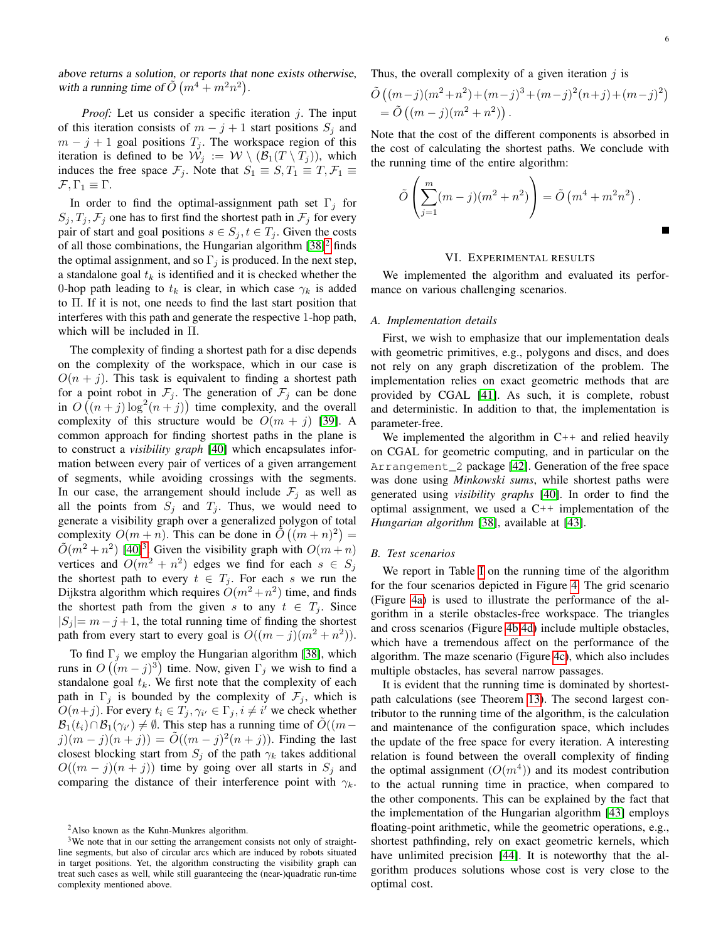above returns a solution, or reports that none exists otherwise, with a running time of  $\tilde{O}(m^4 + m^2n^2)$ .

*Proof:* Let us consider a specific iteration j. The input of this iteration consists of  $m - j + 1$  start positions  $S_j$  and  $m - j + 1$  goal positions  $T_j$ . The workspace region of this iteration is defined to be  $\mathcal{W}_j := \mathcal{W} \setminus (\mathcal{B}_1(T \setminus T_j))$ , which induces the free space  $\mathcal{F}_i$ . Note that  $S_1 \equiv S, T_1 \equiv T, \mathcal{F}_1 \equiv T$  $\mathcal{F}, \Gamma_1 \equiv \Gamma.$ 

In order to find the optimal-assignment path set  $\Gamma_j$  for  $S_j, T_j, F_j$  one has to first find the shortest path in  $F_j$  for every pair of start and goal positions  $s \in S_j, t \in T_j$ . Given the costs of all those combinations, the Hungarian algorithm  $[38]^2$  $[38]^2$  $[38]^2$  finds the optimal assignment, and so  $\Gamma_j$  is produced. In the next step, a standalone goal  $t_k$  is identified and it is checked whether the 0-hop path leading to  $t_k$  is clear, in which case  $\gamma_k$  is added to Π. If it is not, one needs to find the last start position that interferes with this path and generate the respective 1-hop path, which will be included in Π.

The complexity of finding a shortest path for a disc depends on the complexity of the workspace, which in our case is  $O(n + j)$ . This task is equivalent to finding a shortest path for a point robot in  $\mathcal{F}_j$ . The generation of  $\mathcal{F}_j$  can be done in  $O((n+j)\log^2(n+j))$  time complexity, and the overall complexity of this structure would be  $O(m + j)$  [\[39\]](#page-9-4). A common approach for finding shortest paths in the plane is to construct a *visibility graph* [\[40\]](#page-9-5) which encapsulates information between every pair of vertices of a given arrangement of segments, while avoiding crossings with the segments. In our case, the arrangement should include  $\mathcal{F}_j$  as well as all the points from  $S_j$  and  $T_j$ . Thus, we would need to generate a visibility graph over a generalized polygon of total complexity  $O(m+n)$ . This can be done in  $\tilde{O}(m+n)^2$  =  $\tilde{O}(m^2 + n^2)$  [\[40\]](#page-9-5)<sup>[3](#page-5-2)</sup>. Given the visibility graph with  $O(m + n)$ vertices and  $O(m^2 + n^2)$  edges we find for each  $s \in S_j$ the shortest path to every  $t \in T_j$ . For each s we run the Dijkstra algorithm which requires  $O(m^2 + n^2)$  time, and finds the shortest path from the given s to any  $t \in T_i$ . Since  $|S_i| = m - j + 1$ , the total running time of finding the shortest path from every start to every goal is  $O((m-j)(m^2+n^2)).$ 

To find  $\Gamma_i$  we employ the Hungarian algorithm [\[38\]](#page-9-3), which runs in  $O((m-j)^3)$  time. Now, given  $\Gamma_j$  we wish to find a standalone goal  $t_k$ . We first note that the complexity of each path in  $\Gamma_j$  is bounded by the complexity of  $\mathcal{F}_j$ , which is  $O(n+j)$ . For every  $t_i \in T_j, \gamma_{i'} \in \Gamma_j, i \neq i'$  we check whether  $\mathcal{B}_1(t_i) \cap \mathcal{B}_1(\gamma_{i'}) \neq \emptyset$ . This step has a running time of  $\tilde{O}((m-p)$  $j(m-j)(n+j)) = \tilde{O}((m-j)^2(n+j)).$  Finding the last closest blocking start from  $S_j$  of the path  $\gamma_k$  takes additional  $O((m - j)(n + j))$  time by going over all starts in  $S_i$  and comparing the distance of their interference point with  $\gamma_k$ . Thus, the overall complexity of a given iteration  $\dot{\eta}$  is

$$
\tilde{O}((m-j)(m^2+n^2)+(m-j)^3+(m-j)^2(n+j)+(m-j)^2)
$$
  
=  $\tilde{O}((m-j)(m^2+n^2)).$ 

Note that the cost of the different components is absorbed in the cost of calculating the shortest paths. We conclude with the running time of the entire algorithm:

$$
\tilde{O}\left(\sum_{j=1}^{m} (m-j)(m^{2}+n^{2})\right) = \tilde{O}\left(m^{4}+m^{2}n^{2}\right).
$$

## VI. EXPERIMENTAL RESULTS

<span id="page-5-0"></span>We implemented the algorithm and evaluated its performance on various challenging scenarios.

## *A. Implementation details*

First, we wish to emphasize that our implementation deals with geometric primitives, e.g., polygons and discs, and does not rely on any graph discretization of the problem. The implementation relies on exact geometric methods that are provided by CGAL [\[41\]](#page-9-6). As such, it is complete, robust and deterministic. In addition to that, the implementation is parameter-free.

We implemented the algorithm in  $C++$  and relied heavily on CGAL for geometric computing, and in particular on the Arrangement\_2 package [\[42\]](#page-9-7). Generation of the free space was done using *Minkowski sums*, while shortest paths were generated using *visibility graphs* [\[40\]](#page-9-5). In order to find the optimal assignment, we used a  $C++$  implementation of the *Hungarian algorithm* [\[38\]](#page-9-3), available at [\[43\]](#page-9-8).

#### *B. Test scenarios*

We report in Table [I](#page-7-5) on the running time of the algorithm for the four scenarios depicted in Figure [4.](#page-6-1) The grid scenario (Figure [4a\)](#page-6-1) is used to illustrate the performance of the algorithm in a sterile obstacles-free workspace. The triangles and cross scenarios (Figure [4b,4d\)](#page-6-1) include multiple obstacles, which have a tremendous affect on the performance of the algorithm. The maze scenario (Figure [4c\)](#page-6-1), which also includes multiple obstacles, has several narrow passages.

It is evident that the running time is dominated by shortestpath calculations (see Theorem [13\)](#page-4-1). The second largest contributor to the running time of the algorithm, is the calculation and maintenance of the configuration space, which includes the update of the free space for every iteration. A interesting relation is found between the overall complexity of finding the optimal assignment  $(O(m^4))$  and its modest contribution to the actual running time in practice, when compared to the other components. This can be explained by the fact that the implementation of the Hungarian algorithm [\[43\]](#page-9-8) employs floating-point arithmetic, while the geometric operations, e.g., shortest pathfinding, rely on exact geometric kernels, which have unlimited precision [\[44\]](#page-9-9). It is noteworthy that the algorithm produces solutions whose cost is very close to the optimal cost.

<span id="page-5-2"></span><span id="page-5-1"></span><sup>2</sup>Also known as the Kuhn-Munkres algorithm.

<sup>&</sup>lt;sup>3</sup>We note that in our setting the arrangement consists not only of straightline segments, but also of circular arcs which are induced by robots situated in target positions. Yet, the algorithm constructing the visibility graph can treat such cases as well, while still guaranteeing the (near-)quadratic run-time complexity mentioned above.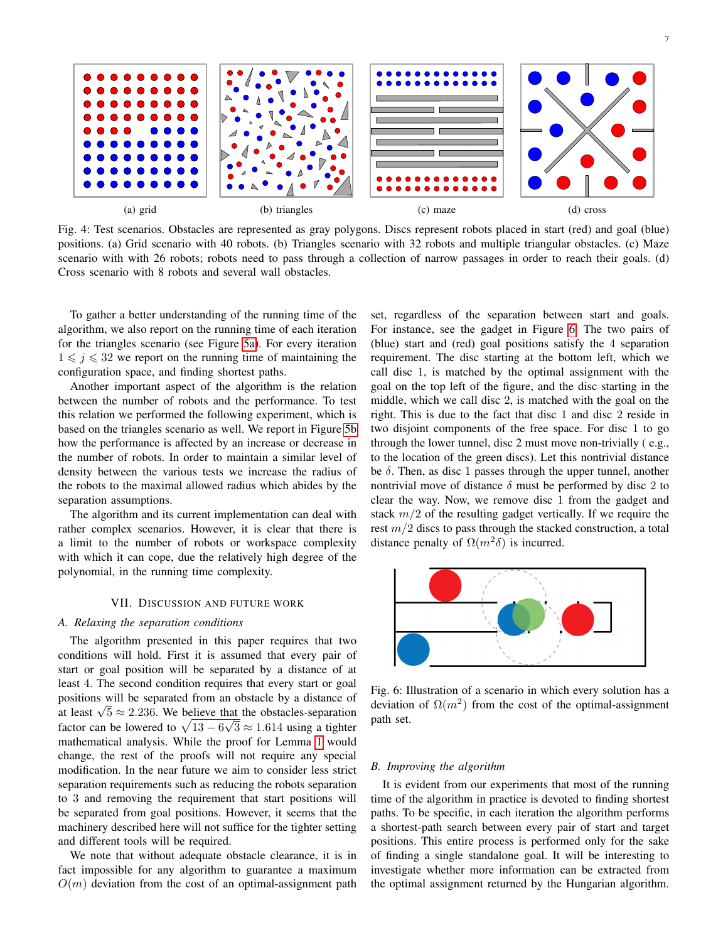<span id="page-6-1"></span>

Fig. 4: Test scenarios. Obstacles are represented as gray polygons. Discs represent robots placed in start (red) and goal (blue) positions. (a) Grid scenario with 40 robots. (b) Triangles scenario with 32 robots and multiple triangular obstacles. (c) Maze scenario with with 26 robots; robots need to pass through a collection of narrow passages in order to reach their goals. (d) Cross scenario with 8 robots and several wall obstacles.

To gather a better understanding of the running time of the algorithm, we also report on the running time of each iteration for the triangles scenario (see Figure [5a\)](#page-7-6). For every iteration  $1 \leq i \leq 32$  we report on the running time of maintaining the configuration space, and finding shortest paths.

Another important aspect of the algorithm is the relation between the number of robots and the performance. To test this relation we performed the following experiment, which is based on the triangles scenario as well. We report in Figure [5b](#page-7-6) how the performance is affected by an increase or decrease in the number of robots. In order to maintain a similar level of density between the various tests we increase the radius of the robots to the maximal allowed radius which abides by the separation assumptions.

The algorithm and its current implementation can deal with rather complex scenarios. However, it is clear that there is a limit to the number of robots or workspace complexity with which it can cope, due the relatively high degree of the polynomial, in the running time complexity.

#### VII. DISCUSSION AND FUTURE WORK

## <span id="page-6-0"></span>*A. Relaxing the separation conditions*

The algorithm presented in this paper requires that two conditions will hold. First it is assumed that every pair of start or goal position will be separated by a distance of at least 4. The second condition requires that every start or goal positions will be separated from an obstacle by a distance of at least  $\sqrt{5} \approx 2.236$ . We believe that the obstacles-separation factor can be lowered to  $\sqrt{13 - 6\sqrt{3}} \approx 1.614$  using a tighter mathematical analysis. While the proof for Lemma [1](#page-2-2) would change, the rest of the proofs will not require any special modification. In the near future we aim to consider less strict separation requirements such as reducing the robots separation to 3 and removing the requirement that start positions will be separated from goal positions. However, it seems that the machinery described here will not suffice for the tighter setting and different tools will be required.

We note that without adequate obstacle clearance, it is in fact impossible for any algorithm to guarantee a maximum  $O(m)$  deviation from the cost of an optimal-assignment path set, regardless of the separation between start and goals. For instance, see the gadget in Figure [6.](#page-6-2) The two pairs of (blue) start and (red) goal positions satisfy the 4 separation requirement. The disc starting at the bottom left, which we call disc 1, is matched by the optimal assignment with the goal on the top left of the figure, and the disc starting in the middle, which we call disc 2, is matched with the goal on the right. This is due to the fact that disc 1 and disc 2 reside in two disjoint components of the free space. For disc 1 to go through the lower tunnel, disc 2 must move non-trivially ( e.g., to the location of the green discs). Let this nontrivial distance be  $\delta$ . Then, as disc 1 passes through the upper tunnel, another nontrivial move of distance  $\delta$  must be performed by disc 2 to clear the way. Now, we remove disc 1 from the gadget and stack  $m/2$  of the resulting gadget vertically. If we require the rest  $m/2$  discs to pass through the stacked construction, a total distance penalty of  $\Omega(m^2\delta)$  is incurred.

<span id="page-6-2"></span>

Fig. 6: Illustration of a scenario in which every solution has a deviation of  $\Omega(m^2)$  from the cost of the optimal-assignment path set.

# *B. Improving the algorithm*

It is evident from our experiments that most of the running time of the algorithm in practice is devoted to finding shortest paths. To be specific, in each iteration the algorithm performs a shortest-path search between every pair of start and target positions. This entire process is performed only for the sake of finding a single standalone goal. It will be interesting to investigate whether more information can be extracted from the optimal assignment returned by the Hungarian algorithm.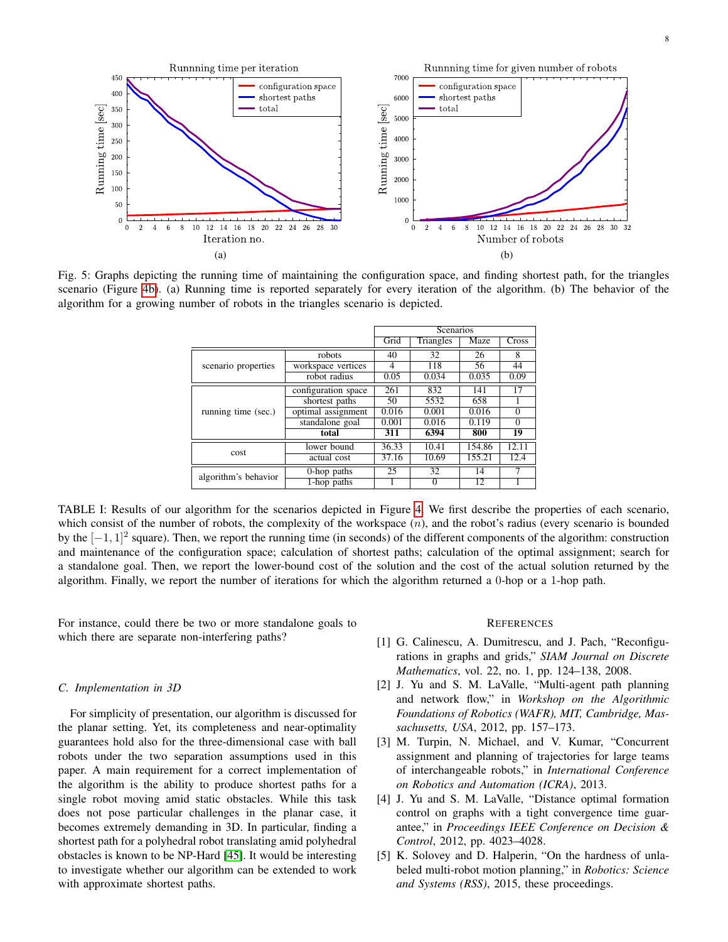<span id="page-7-6"></span>

<span id="page-7-5"></span>Fig. 5: Graphs depicting the running time of maintaining the configuration space, and finding shortest path, for the triangles scenario (Figure [4b\)](#page-6-1). (a) Running time is reported separately for every iteration of the algorithm. (b) The behavior of the algorithm for a growing number of robots in the triangles scenario is depicted.

|                      |                     | Scenarios |           |        |          |
|----------------------|---------------------|-----------|-----------|--------|----------|
|                      |                     | Grid      | Triangles | Maze   | Cross    |
| scenario properties  | robots              | 40        | 32        | 26     | 8        |
|                      | workspace vertices  | 4         | 118       | 56     | 44       |
|                      | robot radius        | 0.05      | 0.034     | 0.035  | 0.09     |
| running time (sec.)  | configuration space | 261       | 832       | 141    | 17       |
|                      | shortest paths      | 50        | 5532      | 658    |          |
|                      | optimal assignment  | 0.016     | 0.001     | 0.016  | $\Omega$ |
|                      | standalone goal     | 0.001     | 0.016     | 0.119  | $\Omega$ |
|                      | total               | 311       | 6394      | 800    | 19       |
| cost                 | lower bound         | 36.33     | 10.41     | 154.86 | 12.11    |
|                      | actual cost         | 37.16     | 10.69     | 155.21 | 12.4     |
| algorithm's behavior | 0-hop paths         | 25        | 32        | 14     |          |
|                      | 1-hop paths         |           |           | 12     |          |

TABLE I: Results of our algorithm for the scenarios depicted in Figure [4.](#page-6-1) We first describe the properties of each scenario, which consist of the number of robots, the complexity of the workspace  $(n)$ , and the robot's radius (every scenario is bounded by the [−1, 1]<sup>2</sup> square). Then, we report the running time (in seconds) of the different components of the algorithm: construction and maintenance of the configuration space; calculation of shortest paths; calculation of the optimal assignment; search for a standalone goal. Then, we report the lower-bound cost of the solution and the cost of the actual solution returned by the algorithm. Finally, we report the number of iterations for which the algorithm returned a 0-hop or a 1-hop path.

For instance, could there be two or more standalone goals to which there are separate non-interfering paths?

## *C. Implementation in 3D*

For simplicity of presentation, our algorithm is discussed for the planar setting. Yet, its completeness and near-optimality guarantees hold also for the three-dimensional case with ball robots under the two separation assumptions used in this paper. A main requirement for a correct implementation of the algorithm is the ability to produce shortest paths for a single robot moving amid static obstacles. While this task does not pose particular challenges in the planar case, it becomes extremely demanding in 3D. In particular, finding a shortest path for a polyhedral robot translating amid polyhedral obstacles is known to be NP-Hard [\[45\]](#page-9-10). It would be interesting to investigate whether our algorithm can be extended to work with approximate shortest paths.

#### **REFERENCES**

- <span id="page-7-0"></span>[1] G. Calinescu, A. Dumitrescu, and J. Pach, "Reconfigurations in graphs and grids," *SIAM Journal on Discrete Mathematics*, vol. 22, no. 1, pp. 124–138, 2008.
- <span id="page-7-1"></span>[2] J. Yu and S. M. LaValle, "Multi-agent path planning and network flow," in *Workshop on the Algorithmic Foundations of Robotics (WAFR), MIT, Cambridge, Massachusetts, USA*, 2012, pp. 157–173.
- <span id="page-7-2"></span>[3] M. Turpin, N. Michael, and V. Kumar, "Concurrent assignment and planning of trajectories for large teams of interchangeable robots," in *International Conference on Robotics and Automation (ICRA)*, 2013.
- <span id="page-7-3"></span>[4] J. Yu and S. M. LaValle, "Distance optimal formation control on graphs with a tight convergence time guarantee," in *Proceedings IEEE Conference on Decision & Control*, 2012, pp. 4023–4028.
- <span id="page-7-4"></span>[5] K. Solovey and D. Halperin, "On the hardness of unlabeled multi-robot motion planning," in *Robotics: Science and Systems (RSS)*, 2015, these proceedings.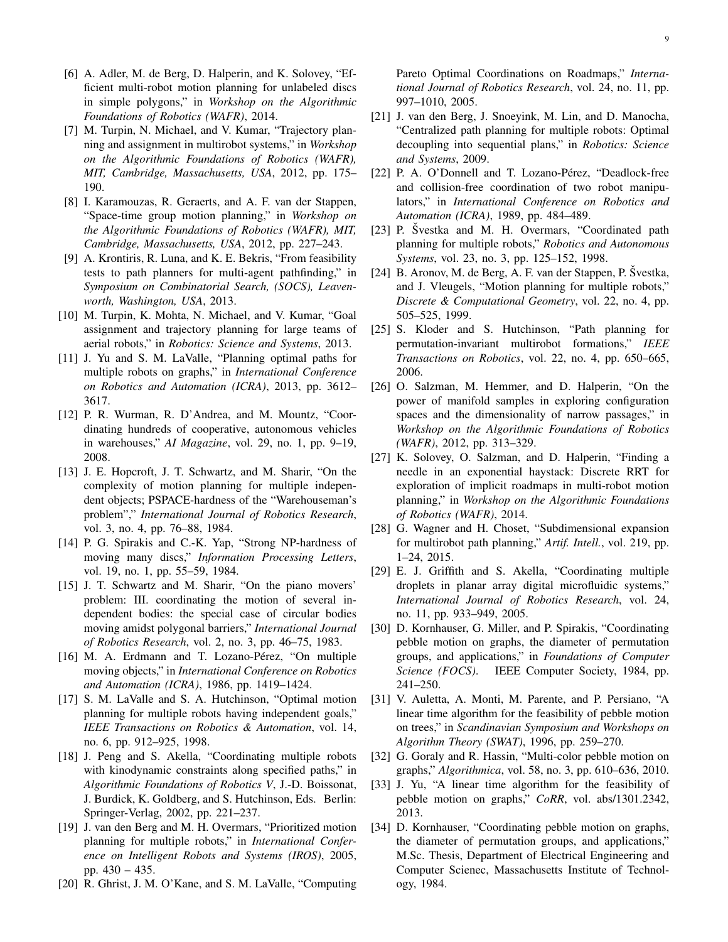- <span id="page-8-0"></span>[6] A. Adler, M. de Berg, D. Halperin, and K. Solovey, "Efficient multi-robot motion planning for unlabeled discs in simple polygons," in *Workshop on the Algorithmic Foundations of Robotics (WAFR)*, 2014.
- <span id="page-8-1"></span>[7] M. Turpin, N. Michael, and V. Kumar, "Trajectory planning and assignment in multirobot systems," in *Workshop on the Algorithmic Foundations of Robotics (WAFR), MIT, Cambridge, Massachusetts, USA*, 2012, pp. 175– 190.
- <span id="page-8-2"></span>[8] I. Karamouzas, R. Geraerts, and A. F. van der Stappen, "Space-time group motion planning," in *Workshop on the Algorithmic Foundations of Robotics (WAFR), MIT, Cambridge, Massachusetts, USA*, 2012, pp. 227–243.
- <span id="page-8-3"></span>[9] A. Krontiris, R. Luna, and K. E. Bekris, "From feasibility tests to path planners for multi-agent pathfinding," in *Symposium on Combinatorial Search, (SOCS), Leavenworth, Washington, USA*, 2013.
- <span id="page-8-4"></span>[10] M. Turpin, K. Mohta, N. Michael, and V. Kumar, "Goal assignment and trajectory planning for large teams of aerial robots," in *Robotics: Science and Systems*, 2013.
- <span id="page-8-5"></span>[11] J. Yu and S. M. LaValle, "Planning optimal paths for multiple robots on graphs," in *International Conference on Robotics and Automation (ICRA)*, 2013, pp. 3612– 3617.
- <span id="page-8-6"></span>[12] P. R. Wurman, R. D'Andrea, and M. Mountz, "Coordinating hundreds of cooperative, autonomous vehicles in warehouses," *AI Magazine*, vol. 29, no. 1, pp. 9–19, 2008.
- <span id="page-8-7"></span>[13] J. E. Hopcroft, J. T. Schwartz, and M. Sharir, "On the complexity of motion planning for multiple independent objects; PSPACE-hardness of the "Warehouseman's problem"," *International Journal of Robotics Research*, vol. 3, no. 4, pp. 76–88, 1984.
- <span id="page-8-8"></span>[14] P. G. Spirakis and C.-K. Yap, "Strong NP-hardness of moving many discs," *Information Processing Letters*, vol. 19, no. 1, pp. 55–59, 1984.
- <span id="page-8-9"></span>[15] J. T. Schwartz and M. Sharir, "On the piano movers' problem: III. coordinating the motion of several independent bodies: the special case of circular bodies moving amidst polygonal barriers," *International Journal of Robotics Research*, vol. 2, no. 3, pp. 46–75, 1983.
- <span id="page-8-10"></span>[16] M. A. Erdmann and T. Lozano-Pérez, "On multiple moving objects," in *International Conference on Robotics and Automation (ICRA)*, 1986, pp. 1419–1424.
- <span id="page-8-11"></span>[17] S. M. LaValle and S. A. Hutchinson, "Optimal motion planning for multiple robots having independent goals," *IEEE Transactions on Robotics & Automation*, vol. 14, no. 6, pp. 912–925, 1998.
- <span id="page-8-12"></span>[18] J. Peng and S. Akella, "Coordinating multiple robots with kinodynamic constraints along specified paths," in *Algorithmic Foundations of Robotics V*, J.-D. Boissonat, J. Burdick, K. Goldberg, and S. Hutchinson, Eds. Berlin: Springer-Verlag, 2002, pp. 221–237.
- <span id="page-8-13"></span>[19] J. van den Berg and M. H. Overmars, "Prioritized motion planning for multiple robots," in *International Conference on Intelligent Robots and Systems (IROS)*, 2005, pp. 430 – 435.
- <span id="page-8-14"></span>[20] R. Ghrist, J. M. O'Kane, and S. M. LaValle, "Computing

Pareto Optimal Coordinations on Roadmaps," *International Journal of Robotics Research*, vol. 24, no. 11, pp. 997–1010, 2005.

- <span id="page-8-15"></span>[21] J. van den Berg, J. Snoeyink, M. Lin, and D. Manocha, "Centralized path planning for multiple robots: Optimal decoupling into sequential plans," in *Robotics: Science and Systems*, 2009.
- <span id="page-8-16"></span>[22] P. A. O'Donnell and T. Lozano-Pérez, "Deadlock-free and collision-free coordination of two robot manipulators," in *International Conference on Robotics and Automation (ICRA)*, 1989, pp. 484–489.
- <span id="page-8-17"></span>[23] P. Švestka and M. H. Overmars, "Coordinated path planning for multiple robots," *Robotics and Autonomous Systems*, vol. 23, no. 3, pp. 125–152, 1998.
- <span id="page-8-18"></span>[24] B. Aronov, M. de Berg, A. F. van der Stappen, P. Švestka, and J. Vleugels, "Motion planning for multiple robots," *Discrete & Computational Geometry*, vol. 22, no. 4, pp. 505–525, 1999.
- <span id="page-8-19"></span>[25] S. Kloder and S. Hutchinson, "Path planning for permutation-invariant multirobot formations," *IEEE Transactions on Robotics*, vol. 22, no. 4, pp. 650–665, 2006.
- <span id="page-8-20"></span>[26] O. Salzman, M. Hemmer, and D. Halperin, "On the power of manifold samples in exploring configuration spaces and the dimensionality of narrow passages," in *Workshop on the Algorithmic Foundations of Robotics (WAFR)*, 2012, pp. 313–329.
- <span id="page-8-21"></span>[27] K. Solovey, O. Salzman, and D. Halperin, "Finding a needle in an exponential haystack: Discrete RRT for exploration of implicit roadmaps in multi-robot motion planning," in *Workshop on the Algorithmic Foundations of Robotics (WAFR)*, 2014.
- <span id="page-8-22"></span>[28] G. Wagner and H. Choset, "Subdimensional expansion for multirobot path planning," *Artif. Intell.*, vol. 219, pp. 1–24, 2015.
- <span id="page-8-23"></span>[29] E. J. Griffith and S. Akella, "Coordinating multiple droplets in planar array digital microfluidic systems," *International Journal of Robotics Research*, vol. 24, no. 11, pp. 933–949, 2005.
- <span id="page-8-24"></span>[30] D. Kornhauser, G. Miller, and P. Spirakis, "Coordinating pebble motion on graphs, the diameter of permutation groups, and applications," in *Foundations of Computer Science (FOCS)*. IEEE Computer Society, 1984, pp. 241–250.
- <span id="page-8-25"></span>[31] V. Auletta, A. Monti, M. Parente, and P. Persiano, "A linear time algorithm for the feasibility of pebble motion on trees," in *Scandinavian Symposium and Workshops on Algorithm Theory (SWAT)*, 1996, pp. 259–270.
- <span id="page-8-26"></span>[32] G. Goraly and R. Hassin, "Multi-color pebble motion on graphs," *Algorithmica*, vol. 58, no. 3, pp. 610–636, 2010.
- <span id="page-8-27"></span>[33] J. Yu, "A linear time algorithm for the feasibility of pebble motion on graphs," *CoRR*, vol. abs/1301.2342, 2013.
- <span id="page-8-28"></span>[34] D. Kornhauser, "Coordinating pebble motion on graphs, the diameter of permutation groups, and applications," M.Sc. Thesis, Department of Electrical Engineering and Computer Scienec, Massachusetts Institute of Technology, 1984.